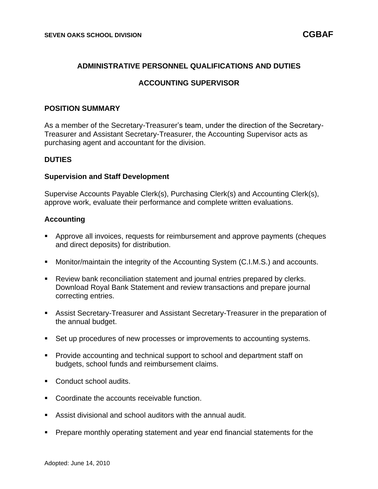### **ADMINISTRATIVE PERSONNEL QUALIFICATIONS AND DUTIES**

### **ACCOUNTING SUPERVISOR**

#### **POSITION SUMMARY**

As a member of the Secretary-Treasurer's team, under the direction of the Secretary-Treasurer and Assistant Secretary-Treasurer, the Accounting Supervisor acts as purchasing agent and accountant for the division.

#### **DUTIES**

#### **Supervision and Staff Development**

Supervise Accounts Payable Clerk(s), Purchasing Clerk(s) and Accounting Clerk(s), approve work, evaluate their performance and complete written evaluations.

### **Accounting**

- Approve all invoices, requests for reimbursement and approve payments (cheques and direct deposits) for distribution.
- Monitor/maintain the integrity of the Accounting System (C.I.M.S.) and accounts.
- Review bank reconciliation statement and journal entries prepared by clerks. Download Royal Bank Statement and review transactions and prepare journal correcting entries.
- Assist Secretary-Treasurer and Assistant Secretary-Treasurer in the preparation of the annual budget.
- Set up procedures of new processes or improvements to accounting systems.
- Provide accounting and technical support to school and department staff on budgets, school funds and reimbursement claims.
- Conduct school audits.
- Coordinate the accounts receivable function.
- Assist divisional and school auditors with the annual audit.
- Prepare monthly operating statement and year end financial statements for the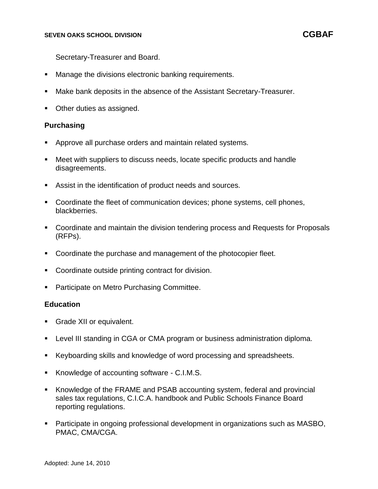Secretary-Treasurer and Board.

- Manage the divisions electronic banking requirements.
- Make bank deposits in the absence of the Assistant Secretary-Treasurer.
- Other duties as assigned.

### **Purchasing**

- Approve all purchase orders and maintain related systems.
- Meet with suppliers to discuss needs, locate specific products and handle disagreements.
- Assist in the identification of product needs and sources.
- Coordinate the fleet of communication devices; phone systems, cell phones, blackberries.
- Coordinate and maintain the division tendering process and Requests for Proposals (RFPs).
- Coordinate the purchase and management of the photocopier fleet.
- Coordinate outside printing contract for division.
- Participate on Metro Purchasing Committee.

### **Education**

- Grade XII or equivalent.
- Level III standing in CGA or CMA program or business administration diploma.
- Keyboarding skills and knowledge of word processing and spreadsheets.
- Knowledge of accounting software C.I.M.S.
- Knowledge of the FRAME and PSAB accounting system, federal and provincial sales tax regulations, C.I.C.A. handbook and Public Schools Finance Board reporting regulations.
- Participate in ongoing professional development in organizations such as MASBO, PMAC, CMA/CGA.